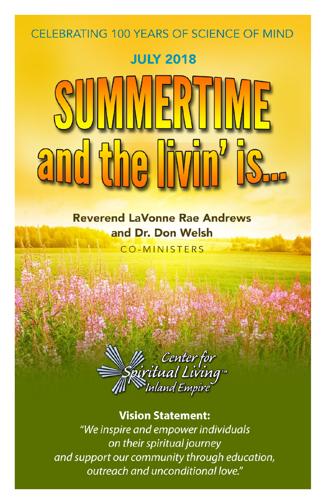### CELEBRATING 100 YEARS OF SCIENCE OF MIND

### **JULY 2018**

### **Reverend LaVonne Rae Andrews** and Dr. Don Welsh

**CO-MINISTERS** 



#### **Vision Statement:** "We inspire and empower individuals on their spiritual journey and support our community through education, outreach and unconditional love."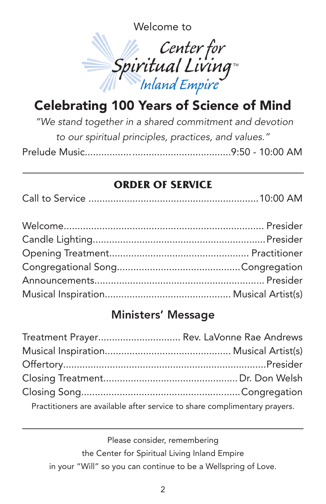Welcome to



### Celebrating 100 Years of Science of Mind

*"We stand together in a shared commitment and devotion to our spiritual principles, practices, and values."* Prelude Music.....................................................9:50 - 10:00 AM

#### **ORDER OF SERVICE**

|--|--|--|

### Ministers' Message

| Treatment Prayer Rev. LaVonne Rae Andrews                                 |  |
|---------------------------------------------------------------------------|--|
|                                                                           |  |
|                                                                           |  |
|                                                                           |  |
|                                                                           |  |
| Practitioners are available after service to share complimentary prayers. |  |

Please consider, remembering the Center for Spiritual Living Inland Empire in your "Will" so you can continue to be a Wellspring of Love.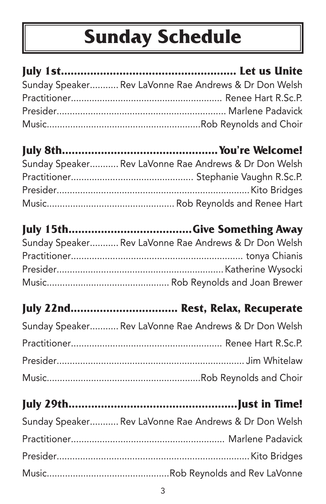## **Sunday Schedule**

| Sunday Speaker Rev LaVonne Rae Andrews & Dr Don Welsh |
|-------------------------------------------------------|
|                                                       |
|                                                       |
|                                                       |
|                                                       |
| Sunday Speaker Rev LaVonne Rae Andrews & Dr Don Welsh |
|                                                       |
|                                                       |
|                                                       |
|                                                       |
| Sunday Speaker Rev LaVonne Rae Andrews & Dr Don Welsh |
|                                                       |
|                                                       |
|                                                       |
| July 22nd Rest, Relax, Recuperate                     |
| Sunday Speaker Rev LaVonne Rae Andrews & Dr Don Welsh |
|                                                       |
|                                                       |
|                                                       |
|                                                       |
| Sunday Speaker Rev LaVonne Rae Andrews & Dr Don Welsh |
|                                                       |
|                                                       |
|                                                       |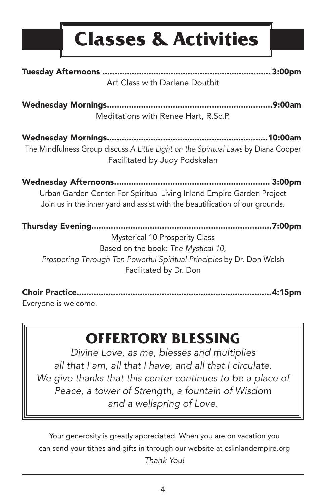## **Classes & Activities**

| Art Class with Darlene Douthit                                                                                                                                              |
|-----------------------------------------------------------------------------------------------------------------------------------------------------------------------------|
| Meditations with Renee Hart, R.Sc.P.                                                                                                                                        |
| The Mindfulness Group discuss A Little Light on the Spiritual Laws by Diana Cooper<br>Facilitated by Judy Podskalan                                                         |
|                                                                                                                                                                             |
| 3:00 <sub>pm</sub><br>Urban Garden Center For Spiritual Living Inland Empire Garden Project<br>Join us in the inner yard and assist with the beautification of our grounds. |

Choir Practice................................................................................4:15pm

Everyone is welcome.

### **OFFERTORY BLESSING**

*Divine Love, as me, blesses and multiplies all that I am, all that I have, and all that I circulate. We give thanks that this center continues to be a place of Peace, a tower of Strength, a fountain of Wisdom and a wellspring of Love.*

Your generosity is greatly appreciated. When you are on vacation you can send your tithes and gifts in through our website at cslinlandempire.org *Thank You!*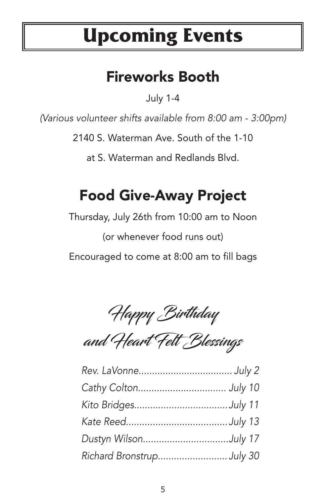## **Upcoming Events**

### Fireworks Booth

July 1-4

*(Various volunteer shifts available from 8:00 am - 3:00pm)*

2140 S. Waterman Ave. South of the 1-10

at S. Waterman and Redlands Blvd.

## Food Give-Away Project

Thursday, July 26th from 10:00 am to Noon (or whenever food runs out) Encouraged to come at 8:00 am to fill bags

Happy Birthday

and Heart Felt Blessings

| Dustyn WilsonJuly 17     |  |
|--------------------------|--|
| Richard BronstrupJuly 30 |  |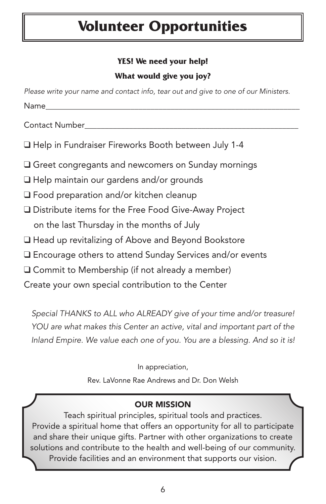### **Volunteer Opportunities**

#### **YES! We need your help!**

#### **What would give you joy?**

| Please write your name and contact info, tear out and give to one of our Ministers. |
|-------------------------------------------------------------------------------------|
| Name_______                                                                         |
| Contact Number___________                                                           |
| □ Help in Fundraiser Fireworks Booth between July 1-4                               |
| $\square$ Greet congregants and newcomers on Sunday mornings                        |
| $\Box$ Help maintain our gardens and/or grounds                                     |
| □ Food preparation and/or kitchen cleanup                                           |
| $\square$ Distribute items for the Free Food Give-Away Project                      |
| on the last Thursday in the months of July                                          |
| □ Head up revitalizing of Above and Beyond Bookstore                                |
| $\square$ Encourage others to attend Sunday Services and/or events                  |
| $\Box$ Commit to Membership (if not already a member)                               |
| Create your own special contribution to the Center                                  |
| Special THANKS to ALL who ALREADY give of your time and/or treasure!                |

*YOU are what makes this Center an active, vital and important part of the Inland Empire. We value each one of you. You are a blessing. And so it is!*

In appreciation,

Rev. LaVonne Rae Andrews and Dr. Don Welsh

#### OUR MISSION

Teach spiritual principles, spiritual tools and practices. Provide a spiritual home that offers an opportunity for all to participate and share their unique gifts. Partner with other organizations to create solutions and contribute to the health and well-being of our community. Provide facilities and an environment that supports our vision.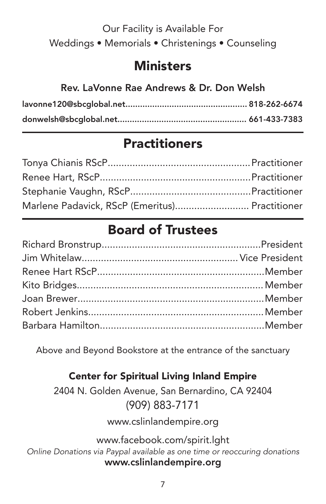### Our Facility is Available For Weddings • Memorials • Christenings • Counseling

### **Ministers**

#### Rev. LaVonne Rae Andrews & Dr. Don Welsh

### **Practitioners**

| Marlene Padavick, RScP (Emeritus) Practitioner |  |
|------------------------------------------------|--|

### Board of Trustees

Above and Beyond Bookstore at the entrance of the sanctuary

#### Center for Spiritual Living Inland Empire

2404 N. Golden Avenue, San Bernardino, CA 92404 (909) 883-7171

www.cslinlandempire.org

www.facebook.com/spirit.lght *Online Donations via Paypal available as one time or reoccuring donations* www.cslinlandempire.org